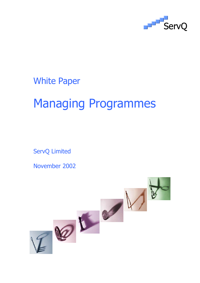

White Paper

# Managing Programmes

ServQ Limited

November 2002

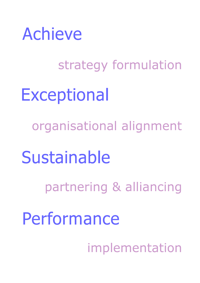

strategy formulation **Exceptional** organisational alignment Sustainable partnering & alliancing Performance implementation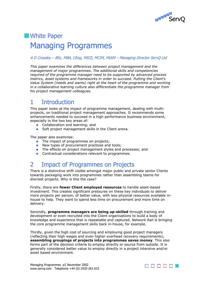

# **NH** White Paper Managing Programmes

#### A D Crossley – BSc, MBA, CEng, MICE, MCIM, MIAM – Managing Director ServQ Ltd

*This paper examines the differences between project management and the management of major programmes. The additional skills and competencies required of the programme manager need to be supported by advanced process metrics, asset systems and frameworks in order to succeed. Putting the Client's Value System (needs and wants) right at the heart of the programme and working in a collaborative learning culture also differentiate the programme manager from his project management colleagues.* 

# 1 Introduction

This paper looks at the impact of programme management, dealing with multiprojects, on traditional project management approaches. It recommends some enhancements needed to succeed in a high performance business environment, especially in the two key areas of:

- **Collaboration and learning; and**
- Soft project management skills in the Client arena.

The paper also examines:

- The impact of programmes on projects;
- New types of procurement practices and tools;
- **The effects on project management styles and processes; and**
- **Contractual considerations relevant to programmes.**

## 2 Impact of Programmes on Projects

There is a distinctive shift visible amongst major public and private sector Clients towards packaging work into programmes rather than assembling teams for discreet projects. Why is this the case?

Firstly, there are **fewer Client employed resources** to handle asset-based investment. This creates significant pressures on these key individuals to deliver more projects per person, of better value, with less physical resources available inhouse to help. They want to spend less time on procurement and more time on delivery.

Secondly, **programme managers are being up-skilled** through training and development or even recruited into the Client organisations to build a body of knowledge and experience that is repeatable and captured. Network Rail is bringing the core programme management skills back in-house, for example.

Thirdly, given the high cost of sourcing and employing good project managers (reflecting their high wages and even higher overhead recovery requirements), **assembling groupings of projects into programmes saves money**. This also forms part of the decision criteria to employ directly or source from outside. It is generally considered better value to employ directly in a project intensive and/or asset based environment.

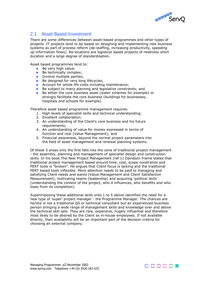

## 2.1 Asset Based Investment

There are some differences between asset-based programmes and other types of projects. IT projects tend to be based on designing and implementing new business systems as part of process reform (de-staffing, increasing productivity, speeding up information flows). Re-locations are logistical based projects of relatively short duration and a large degree of standardisation.

Asset based programmes tend to:

- $\blacksquare$  Be very high value;
- Be technically complex;
- **I** Involve multiple parties;
- Be designed for very long lifecycles;
- **Account for whole life costs including maintenance;**
- a. Be subject to many planning and legislative constraints; and
- $\mathcal{L}_{\mathcal{A}}$ Be either the core business asset (water schemes for example) or strongly facilitate the core business (buildings for businesses, hospitals and schools for example).

Therefore asset based programme management requires:

- 1. High levels of specialist skills and technical understanding;
- 2. Excellent collaboration;
- 3. An understanding of the Client's core business and his future requirements;
- 4. An understanding of value for money expressed in terms of function and cost (Value Management); and
- 5. Financial awareness, beyond the normal project parameters into the field of asset management and renewal planning systems.

Of these 5 areas only the first falls into the zone of traditional project management - the assembly, planning and management of specialist design and construction skills. In his book The New Project Management (ref 1) Davidson Frame states that traditional project management based around time, cost, scope constraints and PERT tools is "broken". He argues that Client focus is lacking and the traditional PERT based tools inflexible. More attention needs to be paid to managing and satisfying Client needs and wants (Value Management and Client Satisfaction Measurement), motivating teams (leadership) and acquiring 'political skills' (understanding the context of the project, who it influences, who benefits and who loses from its completion).

Superimposing these additional skills onto 1 to 5 above identifies the need for a new type of 'super' project manager - the Programme Manager. The chances are he/she is not a traditional QS or technical consultant but an experienced business person bringing a wide range of management skills and knowledge over and above the technical skill sets. They are rare, expensive, hugely influential and therefore most likely to be desired by the Client as in-house employees. If not available directly, their availability will be an important part of the decision criteria for choosing an external company.

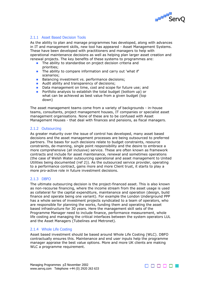

#### 2.1.1 Asset Based Decision Tools

As the ability to plan and manage programmes has developed, along with advances in IT and management skills, new tool has appeared - Asset Management Systems. These have been developed with practitioners and managers to help with operational maintenance decisions as well as helping plan larger asset creation and renewal projects. The key benefits of these systems to programmes are:

- **The ability to standardise on project decision criteria and** priorities;
- **The ability to compare information and carry out 'what if'** scenarios;
- **Balancing investment vs. performance decisions;**
- **Audit ability and transparency of decisions;**
- $\mathcal{L}_{\text{max}}$ Data management on time, cost and scope for future use; and
- **College** Portfolio analysis to establish the total budget (bottom up) or what can be achieved as best value from a given budget (top down)

The asset management teams come from a variety of backgrounds - in-house teams, consultants, project management houses, IT companies or specialist asset management organisations. None of these are to be confused with Asset Management Houses - that deal with finances and pensions, as fiscal managers.

#### 2.1.2 Outsourcing

As greater maturity over the issue of control has developed, many asset based decisions and the asset management processes are being outsourced to preferred partners. The bases for such decisions relate to budget constraints, resource constraints, de-manning, single point responsibility and the desire to embrace a more comprehensive (all inclusive) service. These are often known as framework contracts and include for asset maintenance, renewal and sometimes operations (the case of Welsh Water outsourcing operational and asset management to United Utilities being documented (ref 2)). As the outsourced service provider, operating to a performance contract, gains more and more Client trust, it starts to play a more pro-active role in future investment decisions.

#### 2.1.3 DBFO

The ultimate outsourcing decision is the project-financed asset. This is also known as non-recourse financing, where the income stream from the asset usage is used as collateral for the capital expenditure, maintenance and operation (design, build finance and operate being one variant). For example the London Underground PPP has a whole series of investment projects syndicated to a team of operators, who are responsible for planning the works, funding them and operating the asset based infrastructure for 30 years. Here the management skill sets of the Programme Manager need to include finance, performance measurement, whole life costing and managing the critical interfaces between the system operators LUL and the Asset Managers (Tubelines and Metronet).

#### 2.1.4 Whole Life Costing

Asset based investment should be based around Whole Life Costing (WLC). DBFO contractually ensures this. Maintenance and end user inputs help the programme manager appraise the best value options. More and more UK clients are making WLC a programme requirement.

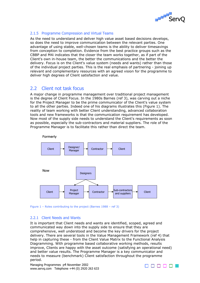

#### 2.1.5 Programme Compression and Virtual Teams

As the need to understand and deliver high value asset based decisions develops, so does the need to improve communication between the relevant parties. One advantage of using stable, well-chosen teams is the ability to deliver timesavings from conception to completion. Evidence from the best practice groups such as the CBBP and M4i indicates that the closer the team works together, as if part of the Client's own in-house team, the better the communications and the better the delivery. Focus is on the Client's value system (needs and wants) rather than those of the individual project parties. This is the real emphasis of partnering - joining up relevant and complementary resources with an agreed vision for the programme to deliver high degrees of Client satisfaction and value.

### 2.2 Client not task focus

A major change in programme management over traditional project management is the degree of Client Focus. In the 1980s Barnes (ref 3), was carving out a niche for the Project Manager to be the prime communicator of the Client's value system to all the other parties. Indeed one of his diagrams illustrates this (Figure 1). The reality of team working with better Client understanding, advanced collaboration tools and new frameworks is that the communication requirement has developed. Now most of the supply side needs to understand the Client's requirements as soon as possible, especially the sub-contractors and material suppliers. The role of the Programme Manager is to facilitate this rather than direct the team.





#### 2.2.1 Client Needs and Wants

It is important that Client needs and wants are identified, scoped, agreed and communicated way down into the supply side to ensure that they are comprehensive, well understood and become the key drivers for the project delivery. There are several tools in the Value Management Framework (ref 4) that help in capturing these - from the Client Value Matrix to the Functional Analysis Diagramming. With programme based collaborative working methods, results improve, Clients are happy with the asset outcome (satisfying an operational need) and better value results. The Programme Manager is a key communicator and needs to measure (benchmark) Client satisfaction throughout the programme period.

Managing Programmes p4 November 2002 www.servq.com Telephone +44 (0) 2920 263 633

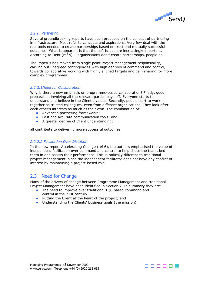

#### 2.2.2 Partnering

Several groundbreaking reports have been produced on the concept of partnering in infrastructure. Most refer to concepts and aspirations. Very few deal with the real tools needed to create partnerships based on trust and mutually successful outcomes. What is apparent is that the soft issues are increasingly important. According to Dent (ref 5) - 'organisations don't create partnerships, people do'.

The impetus has moved from single point Project Management responsibility, carving out unagreed contingencies with high degrees of command and control, towards collaborative working with highly aligned targets and gain sharing for more complex programmes.

#### *2.2.2.1Need for Collaboration*

Why is there a new emphasis on programme-based collaboration? Firstly, good preparation involving all the relevant parties pays off. Everyone starts to understand and believe in the Client's values. Secondly, people start to work together as trusted colleagues, even from different organisations. They look after each other's interests as much as their own. The combination of:

- **Advanced partnering frameworks:**
- **Fast and accurate communication tools; and**
- **A** greater degree of Client understanding;

all contribute to delivering more successful outcomes.

#### *2.2.2.2 Facilitation Over Dictation*

In the new report Accelerating Change (ref 6), the authors emphasised the value of independent facilitation over command and control to help chose the team, bed them in and assess their performance. This is radically different to traditional project management, since the independent facilitator does not have any conflict of interest by maintaining a project-based role.

#### 2.3 Need for Change

Many of the drivers of change between Programme Management and traditional Project Management have been identified in Section 2. In summary they are:

- **The need to improve over traditional TQC based command and** control in the 21st century;
- **Putting the Client at the heart of the project; and**
- **Duma** Understanding the Clients' business goals (the mission).

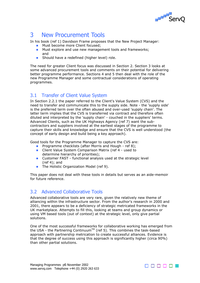

# 3 New Procurement Tools

In his book (ref 1) Davidson Frame proposes that the New Project Manager:

- **Must become more Client focused:**
- $\mathbb{R}^n$ Must explore and use new management tools and frameworks; and
- **Should have a redefined (higher level) role.**

The need for greater Client focus was discussed in Section 2. Section 3 looks at some advanced procurement tools and comments on their potential for delivering better programme performance. Sections 4 and 5 then deal with the role of the new Programme Manager and some contractual considerations of operating programmes.

## 3.1 Transfer of Client Value System

In Section 2.2.1 the paper referred to the Client's Value System (CVS) and the need to transfer and communicate this to the supply side. Note - the 'supply side' is the preferred term over the often abused and over-used 'supply chain'. The latter term implies that the CVS is transferred via contract and therefore often diluted and interpreted by the 'supply chain' - couched in the suppliers' terms. Advanced Clients, such as the UK Highways Agency (ref 7) want the subcontractors and suppliers involved at the earliest stages of the programme to capture their skills and knowledge and ensure that the CVS is well understood (the concept of early design and build being a key approach).

Good tools for the Programme Manager to capture the CVS are:

- **Programme checklists (after Morris and Hough ref 8);**
- **Client Value System Comparison Matrix (ref 4 used to** determine hierarchy of priorities);
- **Customer FAST functional analysis used at the strategic level** (ref 4); and
- **The Holistic Organization Model (ref 9).**

This paper does not deal with these tools in details but serves as an aide-memoir for future reference.

## 3.2 Advanced Collaborative Tools

Advanced collaborative tools are very rare, given the relatively new theme of alliancing within the infrastructure sector. From the author's research in 2000 and 2001, there appears to be a deficiency of strategic metricated frameworks in the UK marketplace. Attempts to fill this, looking at teams and group dynamics or using VM based tools (out of context) at the strategic level, only give partial solutions.

One of the most successful frameworks for collaborative working has emerged from the USA - the Partnering Continuum™ (ref 5). This combines the task-based approach with partnership metrication to create successful alliances. Evidence is that the degree of success using this approach is significantly higher (circa 90%) than other partial solutions.

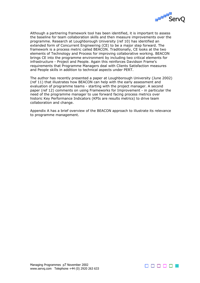

Although a partnering framework tool has been identified, it is important to assess the baseline for team collaboration skills and then measure improvements over the programme. Research at Loughborough University (ref 10) has identified an extended form of Concurrent Engineering (CE) to be a major step forward. The framework is a process metric called BEACON. Traditionally, CE looks at the two elements of Technology and Process for improving collaborative working. BEACON brings CE into the programme environment by including two critical elements for infrastructure - Project and People. Again this reinforces Davidson Frame's requirements that Programme Managers deal with Clients Satisfaction measures and People skills in addition to technical aspects under PERT.

The author has recently presented a paper at Loughborough University (June 2002) (ref 11) that illustrates how BEACON can help with the early assessment and evaluation of programme teams - starting with the project manager. A second paper (ref 12) comments on using Frameworks for Improvement - in particular the need of the programme manager to use forward facing process metrics over historic Key Performance Indicators (KPIs are results metrics) to drive team collaboration and change.

Appendix A has a brief overview of the BEACON approach to illustrate its relevance to programme management.

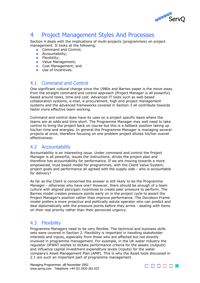

# 4 Project Management Styles And Processes

Section 4 deals with the implications of multi-projects (programmes) on project management. It looks at the following:

- Command and Control;
- **Accountability;**
- $\blacksquare$  Flexibility;
- **Value Management;**
- **Cost Management; and**
- **Use of Incentives.**

## 4.1 Command and Control

One significant cultural change since the 1980s and Barnes paper is the move away from the straight command and control approach (Project Manager is all powerful) based around tasks, time and cost. Advanced IT tools such as web based collaboration systems, e-mail, e-procurement, high end project management systems and the advanced frameworks covered in Section 3 all contribute towards faster more effective team working.

Command and control does have its uses on a project specific basis where the teams are at odds and time short. The Programme Manager may well need to take control to bring the project back on course but this is a fallback position taking up his/her time and energies. In general the Programme Manager is managing several projects at once, therefore focusing on one problem project dilutes his/her overall effectiveness.

### 4.2 Accountability

Accountability is an interesting issue. Under command and control the Project Manager is all powerful, issues the instructions, drives the project plan and therefore has accountability for performance. If we are moving towards a more empowered, trust based model for programmes, with the Client Value System, project goals and performance all agreed with the supply side - who is accountable for delivery?

As far as the Client is concerned the answer is still likely to be the Programme Manager - otherwise why have one? However, there should be enough of a team culture with aligned pain/gain incentives to create peer pressure to perform. The Barnes model creates pressure points early on in the project cycle to assert the Project Manager's position rather than improve performance. The Davidson Frame model prefers a more proactive and politically astute operator who can predict and deal diplomatically with the pressure points before they arrive - dealing with items on their real priority rather than their perceived urgency.

### 4.3 Flexibility

Programme Managers need to be very flexible. The technical and business skills sets were covered in Section 2. Flexibility is important in handling stakeholder interests and inputs, especially from those who are affected but not directly involved in programme management. For example, in the UK water industry the regulator OFWAT wishes to dictate performance criteria for the assets (outputs) and influence capital investment expenditure levels (inputs) for the water company's Asset Management Plan (AMP). This is why the Asset tools discussed in 2.1 are such an important part of programme management.

Managing Programmes p8 November 2002 www.servq.com Telephone +44 (0) 2920 263 633

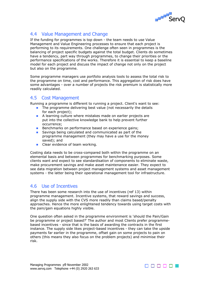

## 4.4 Value Management and Change

If the funding for programmes is top down - the team needs to use Value Management and Value Engineering processes to ensure that each project is performing to its requirements. One challenge often seen in programmes is the balancing of project specific budgets against the total budget. Clients do sometimes have a tendency, part way through programmes, to change their priorities or the performance specifications of the works. Therefore it is essential to keep a baseline model for each project and discuss the impact of change not only on the project but also on the programme.

Some programme managers use portfolio analysis tools to assess the total risk to the programme on time, cost and performance. This aggregation of risk does have some advantages - over a number of projects the risk premium is statistically more readily calculated.

### 4.5 Cost Management

Running a programme is different to running a project. Client's want to see:

- $\blacksquare$  The programme delivering best value (not necessarily the details for each project);
- A learning culture where mistakes made on earlier projects are put into the collective knowledge bank to help prevent further occurrence;
- Benchmarks on performance based on experience gains;
- Savings being calculated and communicated as part of the programme management (they may have a use for the money saved); and
- Clear evidence of team working.

Costing data needs to be cross-compared both within the programme on an elemental basis and between programmes for benchmarking purposes. Some clients want and expect to see standardisation of components to eliminate waste, make procurement savings and make asset maintenance easier. They expect to see data migration between project management systems and asset management systems - the latter being their operational management tool for infrastructure.

## 4.6 Use of Incentives

There has been some research into the use of incentives (ref 13) within programme management. Incentive systems, that reward savings and success, align the supply side with the CVS more readily than claims based/penalty approaches. Hence the more enlightened tendency towards using target costs with the pain/gain equations highly visible.

One question often asked in the programme environment is 'should the Pain/Gain be programme or project based?' The author and most Clients prefer programmebased incentives - since that is the basis of awarding the contracts in the first instance. The supply side likes project-based incentives - they can take the upside payments far earlier in the programme, offset gain on some projects to pain on others (this means they also focus on the problem projects) and minimise their risk.

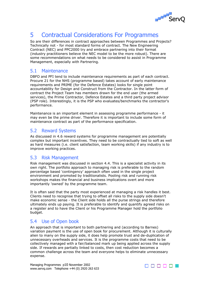

# 5 Contractual Considerations For Programmes

So are their differences in contract approaches between Programmes and Projects? Technically not - for most standard forms of contract. The New Engineering Contract (NEC) and PPC2000 try and embrace partnering into their format (industry practitioners believe the NEC model to be the more robust). There are some recommendations on what needs to be considered to assist in Programme Management, especially with Partnering.

### 5.1 Maintenance

DBFO and PFI tend to include maintenance requirements as part of each contract. Procure 21 for the NHS (programme based) takes account of early maintenance requirements and PRIME (for the Defence Estates) looks for single point accountability for Design and Construct from the Contractor. In the latter form of contract the Project Team has members drawn for the end user (the armed services), the Prime Contractor, Defence Estates and a third party project advisor (PSP role). Interestingly, it is the PSP who evaluates/benchmarks the contractor's performance.

Maintenance is an important element in assessing programme performance - it may even be the prime driver. Therefore it is important to include some form of maintenance contract as part of the performance specification.

## 5.2 Reward Systems

As discussed in 4.6 reward systems for programme management are potentially complex but important incentives. They need to be contractually tied to soft as well as hard measures (i.e. client satisfaction, team working skills) if any industry is to improve working practices.

## 5.3 Risk Management

Risk management was discussed in section 4.4. This is a specialist activity in its own right. The portfolio approach to managing risk is preferable to the random percentage based 'contingency' approach often used in the single project environment and promoted by traditionalists. Pooling risk and running risk workshops makes the financial and business implications overt and more importantly 'owned' by the programme team.

It is often said that the party most experienced at managing a risk handles it best. Clients need to recognise that trying to offset all risks to the supply side doesn't make economic sense - the Client side holds all the purse strings and therefore ultimately ends up paying. It is preferable to identify and quantify agreed risks on a register and to have the Client or his Programme Manager hold the portfolio budget.

## 5.4 Use of Open book

An approach that is important to both partnering and (according to Barnes) variation payment is the use of open book for procurement. Although it is culturally alien to many on the supply side, it does help promote trust and de-duplication of unnecessary overheads and services. It is the programme costs that need to be collectively managed with a fair/balanced mark up being applied across the supply side. If rewards are partially linked to costs, then cost reduction becomes a common challenge across the team and everyone helps to eliminate unnecessary expense.

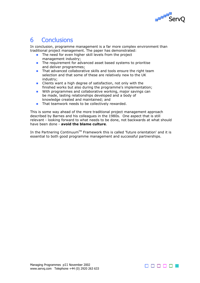

# 6 Conclusions

In conclusion, programme management is a far more complex environment than traditional project management. The paper has demonstrated:

- **The need for even higher skill levels from the project** management industry;
- **The requirement for advanced asset based systems to prioritise** and deliver programmes;
- **That advanced collaborative skills and tools ensure the right team** selection and that some of these are relatively new to the UK industry;
- **Clients want a high degree of satisfaction, not only with the** finished works but also during the programme's implementation;
- **COLLEGE** With programmes and collaborative working, major savings can be made, lasting relationships developed and a body of knowledge created and maintained; and
- **That teamwork needs to be collectively rewarded.**

This is some way ahead of the more traditional project management approach described by Barnes and his colleagues in the 1980s. One aspect that is still relevant - looking forward to what needs to be done, not backwards at what should have been done - **avoid the blame culture**.

In the Partnering Continuum<sup>TM</sup> Framework this is called 'future orientation' and it is essential to both good programme management and successful partnerships.

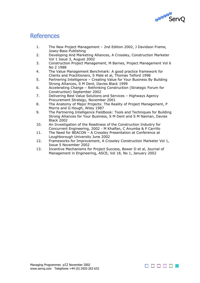

# **References**

- 1. The New Project Management 2nd Edition 2002, J Davidson Frame, Josey-Bass Publishing
- 2. Developing And Marketing Alliances, A Crossley, Construction Marketer Vol 1 Issue 3, August 2002
- 3. Construction Project Management, M Barnes, Project Management Vol 6 No 2 1988
- 4. The Value Management Benchmark: A good practice framework for Clients and Practitioners, S Male et al, Thomas Telford 1998
- 5. Partnering Intelligence Creating Value for Your Business By Building Strong Alliances, S M Dent, Davies Black 1999
- 6. Accelerating Change Rethinking Construction (Strategic Forum for Construction) September 2002
- 7. Delivering Best Value Solutions and Services Highways Agency Procurement Strategy, November 2001
- 8. The Anatomy of Major Projects: The Reality of Project Management, P Morris and G Hough, Wiley 1987
- 9. The Partnering Intelligence Fieldbook: Tools and Techniques for Building Strong Alliances for Your Business, S M Dent and S M Naiman, Davies Black 2002
- 10. An Investigation of the Readiness of the Construction Industry for Concurrent Engineering, 2002 - M Khalfan, C Anumba & P Carrillo
- 11. The Need for BEACON A Crossley Presentation at Conference at Loughborough University June 2002
- 12. Frameworks for Improvement, A Crossley Construction Marketer Vol 1, Issue 5 November 2002
- 13. Incentive Mechanisms for Project Success, Bower D et al, Journal of Management in Engineering, ASCE, Vol 18, No 1, January 2002

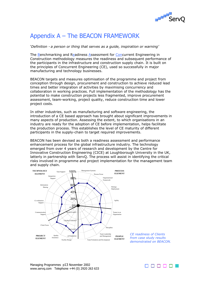

# Appendix A – The BEACON FRAMEWORK

'*Definition - a person or thing that serves as a guide, inspiration or warning'* 

The Benchmarking and Readiness Assessment for Concurrent Engineering in Construction methodology measures the readiness and subsequent performance of the participants in the infrastructure and construction supply chain. It is built on the principles of Concurrent Engineering (CE), used so successfully in major manufacturing and technology businesses.

BEACON targets and measures optimisation of the programme and project from conception through design, procurement and construction to achieve reduced lead times and better integration of activities by maximising concurrency and collaboration in working practices. Full implementation of the methodology has the potential to make construction projects less fragmented, improve procurement assessment, team-working, project quality, reduce construction time and lower project costs.

In other industries, such as manufacturing and software engineering, the introduction of a CE based approach has brought about significant improvements in many aspects of production. Assessing the extent, to which organisations in an industry are ready for the adoption of CE before implementation, helps facilitate the production process. This establishes the level of CE maturity of different participants in the supply-chain to target required improvements.

BEACON has been devised as both a readiness assessment and performance enhancement process for the global infrastructure industry. The technology emerged from over 4 years of research and development by the Centre for Innovative Construction Engineering (CICE) at Loughborough University in the UK, latterly in partnership with ServQ. The process will assist in identifying the critical risks involved in programme and project implementation for the management team and supply chain.



*CE readiness of Clients from case study results demonstrated on BEACON.*



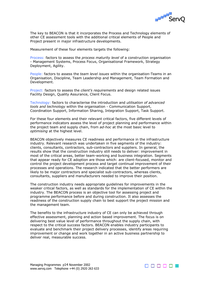

The key to BEACON is that it incorporates the Process and Technology elements of other CE assessment tools with the additional critical elements of People and Project present in major infrastructure developments.

Measurement of these four elements targets the following:

Process: factors to assess the *process maturity level* of a construction organisation - Management Systems, Process Focus, Organisational Framework, Strategy Deployment, Agility.

People: factors to assess the *team level issues* within the organisation-Teams in an Organisation, Discipline, Team Leadership and Management, Team Formation and Development.

Project: factors to assess the *client's requirements* and design related issues Facility Design, Quality Assurance, Client Focus.

Technology: factors to characterise the introduction and *utilisation of advanced tools and technology* within the organisation - Communication Support, Coordination Support, Information Sharing, Integration Support, Task Support.

For these four elements and their relevant critical factors, five different levels of performance indicators assess the level of project planning and performance within the project team and supply chain, from *ad-hoc* at the most basic level to *optimising* at the highest level.

BEACON objectively measures CE readiness and performance in the infrastructure industry. Relevant research was undertaken in five segments of the industry: clients, consultants, contractors, sub-contractors and suppliers. In general, the results show that the construction industry still needs to deliver: improvement in most of the critical areas, better team-working and business integration. Segments that appear ready for CE adoption are those which: are client-focused, monitor and control the project development process and target continual improvement of their processes and operations. The research indicated that the better performers are likely to be major contractors and specialist sub-contractors, whereas clients, consultants, suppliers and manufacturers needed to improve their position.

The construction industry needs appropriate guidelines for improvements in the weaker critical factors, as well as standards for the implementation of CE within the industry. The BEACON process is an objective tool for assessing project and programme performance before and during construction. It also assesses the readiness of the construction supply chain to best support the project mission and the management team.

The benefits to the infrastructure industry of CE can only be achieved through effective assessment, planning and action based improvement. The focus is on delivering best value level of performance throughout the supply chain, with respect to the critical success factors. BEACON enables industry participants to evaluate and benchmark their project delivery processes, identify areas requiring improvement or change and work together in an active business partnership to deliver real, measurable success.

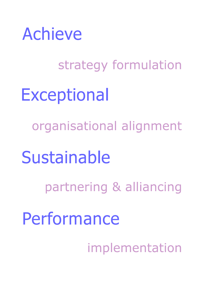

strategy formulation **Exceptional** organisational alignment Sustainable partnering & alliancing Performance implementation